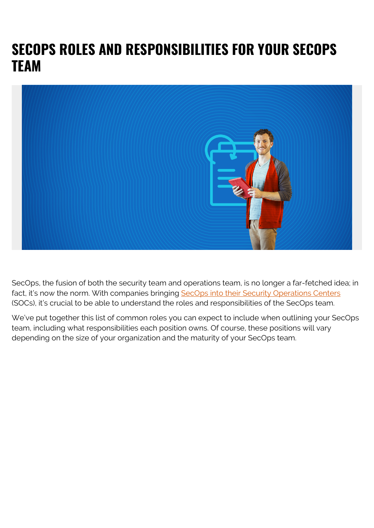## **SECOPS ROLES AND RESPONSIBILITIES FOR YOUR SECOPS TEAM**



SecOps, the fusion of both the security team and operations team, is no longer a far-fetched idea; in fact, it's now the norm. With companies bringing [SecOps into their Security Operations Centers](https://blogs.bmc.com/blogs/secops-vs-soc/) (SOCs), it's crucial to be able to understand the roles and responsibilities of the SecOps team.

We've put together this list of common roles you can expect to include when outlining your SecOps team, including what responsibilities each position owns. Of course, these positions will vary depending on the size of your organization and the maturity of your SecOps team.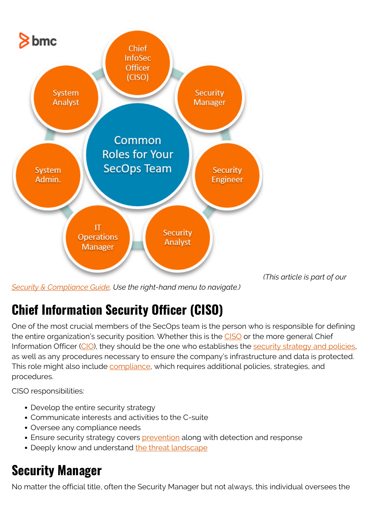

*(This article is part of our*

*[Security & Compliance Guide.](https://blogs.bmc.com/blogs/security-introduction/) Use the right-hand menu to navigate.)*

# **Chief Information Security Officer (CISO)**

One of the most crucial members of the SecOps team is the person who is responsible for defining the entire organization's security position. Whether this is the [CISO](https://blogs.bmc.com/blogs/ciso-chief-information-security-officer/) or the more general Chief Information Officer [\(CIO](https://blogs.bmc.com/blogs/cio-vs-cto-whats-the-difference/)), they should be the one who establishes the [security strategy and policies,](https://blogs.bmc.com/blogs/security-introduction/) as well as any procedures necessary to ensure the company's infrastructure and data is protected. This role might also include [compliance,](https://blogs.bmc.com/blogs/it-security-vs-it-compliance-whats-the-difference/) which requires additional policies, strategies, and procedures.

CISO responsibilities:

- Develop the entire security strategy
- Communicate interests and activities to the C-suite
- Oversee any compliance needs
- Ensure security strategy covers [prevention](https://blogs.bmc.com/blogs/ids-intrusion-detection-vs-ips-intrusion-prevention-systems/) along with detection and response
- Deeply know and understand [the threat landscape](https://blogs.bmc.com/blogs/threat-modeling/)

# **Security Manager**

No matter the official title, often the Security Manager but not always, this individual oversees the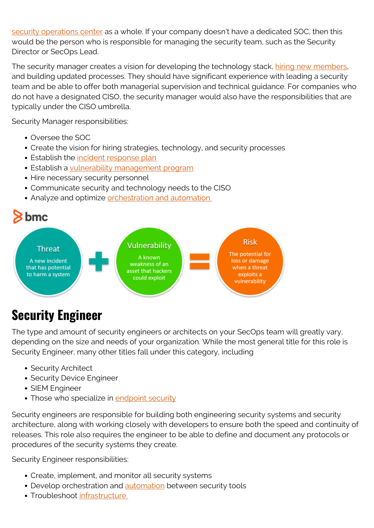[security operations center](https://blogs.bmc.com/blogs/security-operations-centers/) as a whole. If your company doesn't have a dedicated SOC, then this would be the person who is responsible for managing the security team, such as the Security Director or SecOps Lead.

The security manager creates a vision for developing the technology stack, [hiring new members,](https://blogs.bmc.com/blogs/it-job-listing/) and building updated processes. They should have significant experience with leading a security team and be able to offer both managerial supervision and technical guidance. For companies who do not have a designated CISO, the security manager would also have the responsibilities that are typically under the CISO umbrella.

Security Manager responsibilities:

- Oversee the SOC
- Create the vision for hiring strategies, technology, and security processes
- **Establish the [incident response plan](https://blogs.bmc.com/blogs/incident-response-plan/)**
- Establish a [vulnerability management program](https://blogs.bmc.com/blogs/vulnerability-management/)
- Hire necessary security personnel
- Communicate security and technology needs to the CISO
- Analyze and optimize orchestration and automation



#### **Security Engineer**

The type and amount of security engineers or architects on your SecOps team will greatly vary, depending on the size and needs of your organization. While the most general title for this role is Security Engineer, many other titles fall under this category, including

- Security Architect
- Security Device Engineer
- SIEM Engineer
- Those who specialize in [endpoint security](https://blogs.bmc.com/blogs/endpoint-detection-response-edr/)

Security engineers are responsible for building both engineering security systems and security architecture, along with working closely with developers to ensure both the speed and continuity of releases. This role also requires the engineer to be able to define and document any protocols or procedures of the security systems they create.

Security Engineer responsibilities:

- Create, implement, and monitor all security systems
- Develop orchestration and **automation** between security tools
- Troubleshoot [infrastructure](https://blogs.bmc.com/blogs/what-is-it-infrastructure-and-what-are-its-components/)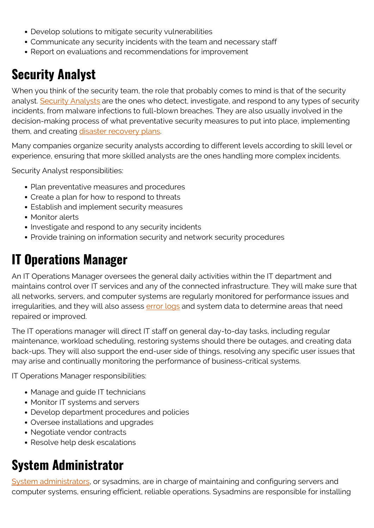- Develop solutions to mitigate security vulnerabilities
- Communicate any security incidents with the team and necessary staff
- Report on evaluations and recommendations for improvement

#### **Security Analyst**

When you think of the security team, the role that probably comes to mind is that of the security analyst. [Security Analysts](https://www.bmc.com/blogs/security-analytics/) are the ones who detect, investigate, and respond to any types of security incidents, from malware infections to full-blown breaches. They are also usually involved in the decision-making process of what preventative security measures to put into place, implementing them, and creating [disaster recovery plans](https://blogs.bmc.com/blogs/disaster-recovery-planning/).

Many companies organize security analysts according to different levels according to skill level or experience, ensuring that more skilled analysts are the ones handling more complex incidents.

Security Analyst responsibilities:

- Plan preventative measures and procedures
- Create a plan for how to respond to threats
- Establish and implement security measures
- Monitor alerts
- Investigate and respond to any security incidents
- Provide training on information security and network security procedures

#### **IT Operations Manager**

An IT Operations Manager oversees the general daily activities within the IT department and maintains control over IT services and any of the connected infrastructure. They will make sure that all networks, servers, and computer systems are regularly monitored for performance issues and irregularities, and they will also assess [error logs](https://blogs.bmc.com/blogs/monitoring-logging-tracing/) and system data to determine areas that need repaired or improved.

The IT operations manager will direct IT staff on general day-to-day tasks, including regular maintenance, workload scheduling, restoring systems should there be outages, and creating data back-ups. They will also support the end-user side of things, resolving any specific user issues that may arise and continually monitoring the performance of business-critical systems.

IT Operations Manager responsibilities:

- Manage and guide IT technicians
- Monitor IT systems and servers
- Develop department procedures and policies
- Oversee installations and upgrades
- Negotiate vendor contracts
- Resolve help desk escalations

#### **System Administrator**

[System administrators,](https://blogs.bmc.com/blogs/sysadmin-role-responsibilities-salary/) or sysadmins, are in charge of maintaining and configuring servers and computer systems, ensuring efficient, reliable operations. Sysadmins are responsible for installing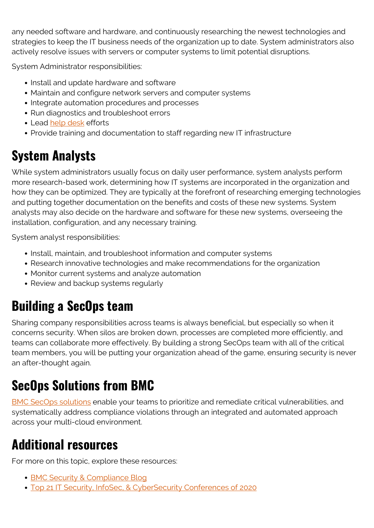any needed software and hardware, and continuously researching the newest technologies and strategies to keep the IT business needs of the organization up to date. System administrators also actively resolve issues with servers or computer systems to limit potential disruptions.

System Administrator responsibilities:

- Install and update hardware and software
- Maintain and configure network servers and computer systems
- Integrate automation procedures and processes
- Run diagnostics and troubleshoot errors
- Lead [help desk](https://blogs.bmc.com/blogs/help-desk-vs-service-desk-whats-difference/) efforts
- Provide training and documentation to staff regarding new IT infrastructure

## **System Analysts**

While system administrators usually focus on daily user performance, system analysts perform more research-based work, determining how IT systems are incorporated in the organization and how they can be optimized. They are typically at the forefront of researching emerging technologies and putting together documentation on the benefits and costs of these new systems. System analysts may also decide on the hardware and software for these new systems, overseeing the installation, configuration, and any necessary training.

System analyst responsibilities:

- Install, maintain, and troubleshoot information and computer systems
- Research innovative technologies and make recommendations for the organization
- Monitor current systems and analyze automation
- Review and backup systems regularly

## **Building a SecOps team**

Sharing company responsibilities across teams is always beneficial, but especially so when it concerns security. When silos are broken down, processes are completed more efficiently, and teams can collaborate more effectively. By building a strong SecOps team with all of the critical team members, you will be putting your organization ahead of the game, ensuring security is never an after-thought again.

## **SecOps Solutions from BMC**

[BMC SecOps solutions](https://www.bmc.com/it-solutions/secops-security-operations.html) enable your teams to prioritize and remediate critical vulnerabilities, and systematically address compliance violations through an integrated and automated approach across your multi-cloud environment.

## **Additional resources**

For more on this topic, explore these resources:

- [BMC Security & Compliance Blog](https://blogs.bmc.com/blogs/categories/secops-security-compliance/)
- [Top 21 IT Security, InfoSec, & CyberSecurity Conferences of 2020](https://blogs.bmc.com/blogs/it-infosec-cyber-security-conferences/)